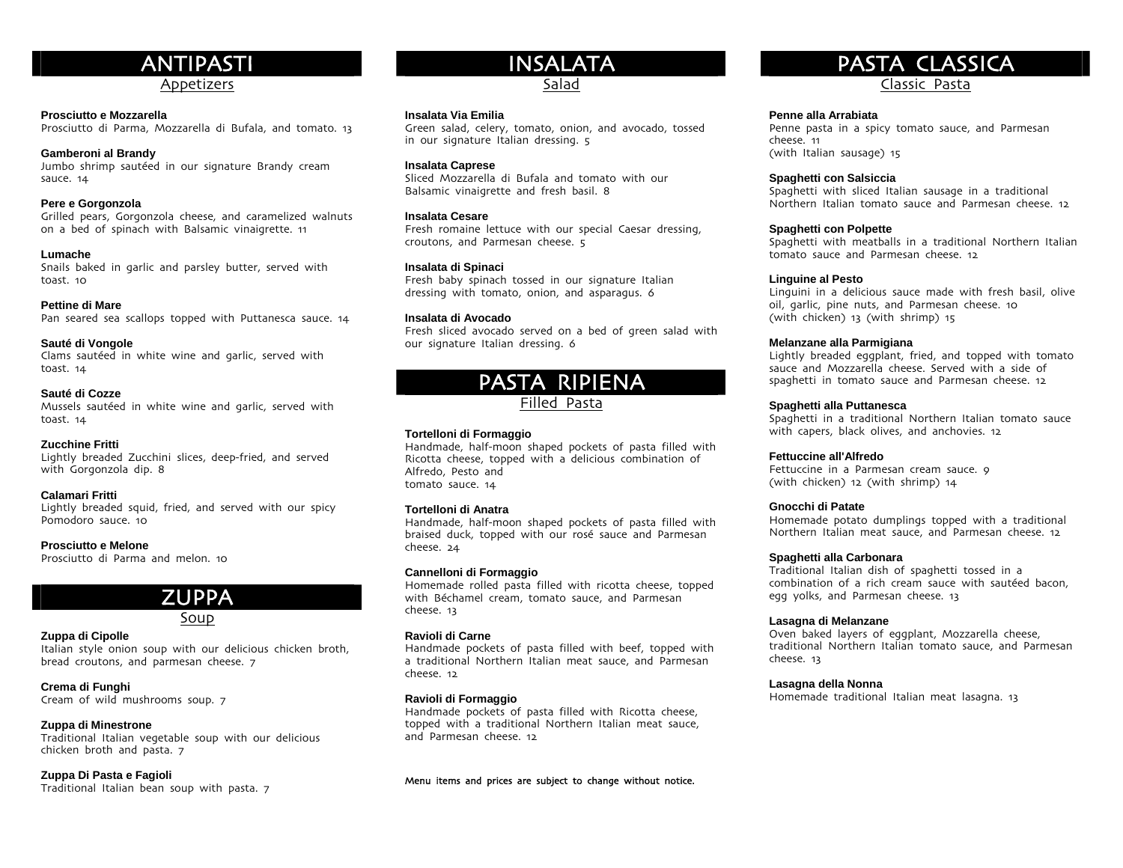# ANTIPASTI

# Appetizers

## **Prosciutto e Mozzarella**

Prosciutto di Parma, Mozzarella di Bufala, and tomato. 13

#### **Gamberoni al Brandy**

Jumbo shrimp sautéed in our signature Brandy cream sauce. 14

## **Pere e Gorgonzola**

Grilled pears, Gorgonzola cheese, and caramelized walnuts on a bed of spinach with Balsamic vinaigrette. 11

#### **Lumache**

Snails baked in garlic and parsley butter, served with toast. 10

#### **Pettine di Mare**

Pan seared sea scallops topped with Puttanesca sauce. 14

#### **Sauté di Vongole**

Clams sautéed in white wine and garlic, served with toast. 14

#### **Sauté di Cozze**

Mussels sautéed in white wine and garlic, served with toast. 14

#### **Zucchine Fritti**

Lightly breaded Zucchini slices, deep-fried, and served with Gorgonzola dip. 8

#### **Calamari Fritti**

Lightly breaded squid, fried, and served with our spicy Pomodoro sauce. 10

#### **Prosciutto e Melone**

Prosciutto di Parma and melon. 10

# ZUPPA

# Soup

# **Zuppa di Cipolle**

Italian style onion soup with our delicious chicken broth, bread croutons, and parmesan cheese. 7

#### **Crema di Funghi**

Cream of wild mushrooms soup. 7

# **Zuppa di Minestrone**

Traditional Italian vegetable soup with our delicious chicken broth and pasta. 7

# **Zuppa Di Pasta e Fagioli**

Traditional Italian bean soup with pasta. 7

# INSALATA

# Salad

## **Insalata Via Emilia**

Green salad, celery, tomato, onion, and avocado, tossed in our signature Italian dressing. 5

# **Insalata Caprese**

Sliced Mozzarella di Bufala and tomato with our Balsamic vinaigrette and fresh basil. 8

# **Insalata Cesare**

Fresh romaine lettuce with our special Caesar dressing, croutons, and Parmesan cheese. 5

### **Insalata di Spinaci**

Fresh baby spinach tossed in our signature Italian dressing with tomato, onion, and asparagus. 6

## **Insalata di Avocado**

Fresh sliced avocado served on a bed of green salad with our signature Italian dressing. 6



Filled Pasta

# **Tortelloni di Formaggio**

Handmade, half-moon shaped pockets of pasta filled with Ricotta cheese, topped with a delicious combination of Alfredo, Pesto and tomato sauce. 14

## **Tortelloni di Anatra**

Handmade, half-moon shaped pockets of pasta filled with braised duck, topped with our rosé sauce and Parmesan cheese. 24

#### **Cannelloni di Formaggio**

Homemade rolled pasta filled with ricotta cheese, topped with Béchamel cream, tomato sauce, and Parmesan cheese. 13

#### **Ravioli di Carne**

Handmade pockets of pasta filled with beef, topped with a traditional Northern Italian meat sauce, and Parmesan cheese. 12

#### **Ravioli di Formaggio**

Handmade pockets of pasta filled with Ricotta cheese, topped with a traditional Northern Italian meat sauce, and Parmesan cheese. 12

Menu items and prices are subject to change without notice.

# PASTA CLASSICA

Classic Pasta

#### **Penne alla Arrabiata**

Penne pasta in a spicy tomato sauce, and Parmesan cheese. 11 (with Italian sausage) 15

#### **Spaghetti con Salsiccia**

Spaghetti with sliced Italian sausage in a traditional Northern Italian tomato sauce and Parmesan cheese. 12

#### **Spaghetti con Polpette**

Spaghetti with meatballs in a traditional Northern Italian tomato sauce and Parmesan cheese. 12

#### **Linguine al Pesto**

Linguini in a delicious sauce made with fresh basil, olive oil, garlic, pine nuts, and Parmesan cheese. 10 (with chicken) 13 (with shrimp) 15

#### **Melanzane alla Parmigiana**

Lightly breaded eggplant, fried, and topped with tomato sauce and Mozzarella cheese. Served with a side of spaghetti in tomato sauce and Parmesan cheese. 12

#### **Spaghetti alla Puttanesca**

Spaghetti in a traditional Northern Italian tomato sauce with capers, black olives, and anchovies. 12

#### **Fettuccine all'Alfredo**

Fettuccine in a Parmesan cream sauce. 9 (with chicken) 12 (with shrimp) 14

#### **Gnocchi di Patate**

Homemade potato dumplings topped with a traditional Northern Italian meat sauce, and Parmesan cheese. 12

#### **Spaghetti alla Carbonara**

Traditional Italian dish of spaghetti tossed in a combination of a rich cream sauce with sautéed bacon, egg yolks, and Parmesan cheese. 13

#### **Lasagna di Melanzane**

Oven baked layers of eggplant, Mozzarella cheese, traditional Northern Italian tomato sauce, and Parmesan cheese. 13

#### **Lasagna della Nonna**

Homemade traditional Italian meat lasagna. 13